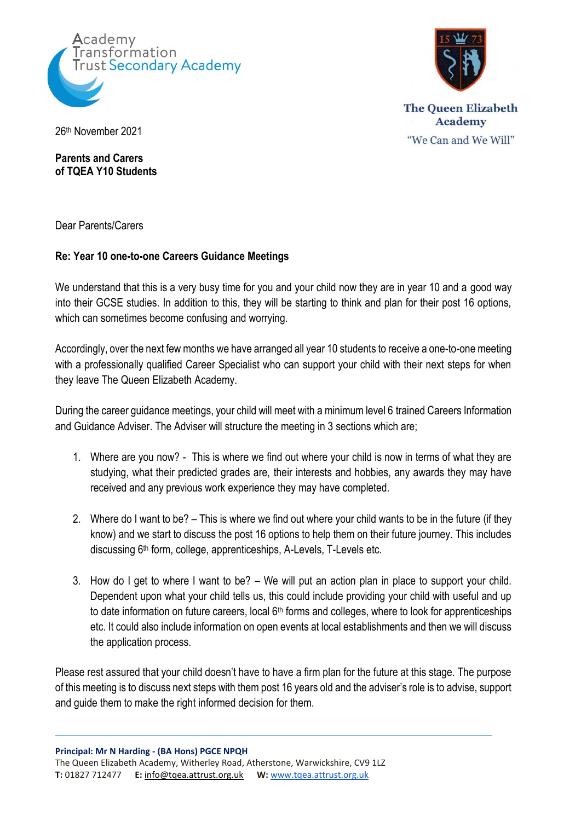



**The Queen Elizabeth Academy** "We Can and We Will"

26th November 2021

**Parents and Carers of TQEA Y10 Students**

Dear Parents/Carers

## **Re: Year 10 one-to-one Careers Guidance Meetings**

We understand that this is a very busy time for you and your child now they are in year 10 and a good way into their GCSE studies. In addition to this, they will be starting to think and plan for their post 16 options, which can sometimes become confusing and worrying.

Accordingly, over the next few months we have arranged all year 10 students to receive a one-to-one meeting with a professionally qualified Career Specialist who can support your child with their next steps for when they leave The Queen Elizabeth Academy.

During the career guidance meetings, your child will meet with a minimum level 6 trained Careers Information and Guidance Adviser. The Adviser will structure the meeting in 3 sections which are;

- 1. Where are you now? This is where we find out where your child is now in terms of what they are studying, what their predicted grades are, their interests and hobbies, any awards they may have received and any previous work experience they may have completed.
- 2. Where do I want to be? This is where we find out where your child wants to be in the future (if they know) and we start to discuss the post 16 options to help them on their future journey. This includes discussing 6<sup>th</sup> form, college, apprenticeships, A-Levels, T-Levels etc.
- 3. How do I get to where I want to be? We will put an action plan in place to support your child. Dependent upon what your child tells us, this could include providing your child with useful and up to date information on future careers, local  $6<sup>th</sup>$  forms and colleges, where to look for apprenticeships etc. It could also include information on open events at local establishments and then we will discuss the application process.

Please rest assured that your child doesn't have to have a firm plan for the future at this stage. The purpose of this meeting is to discuss next steps with them post 16 years old and the adviser's role is to advise, support and guide them to make the right informed decision for them.